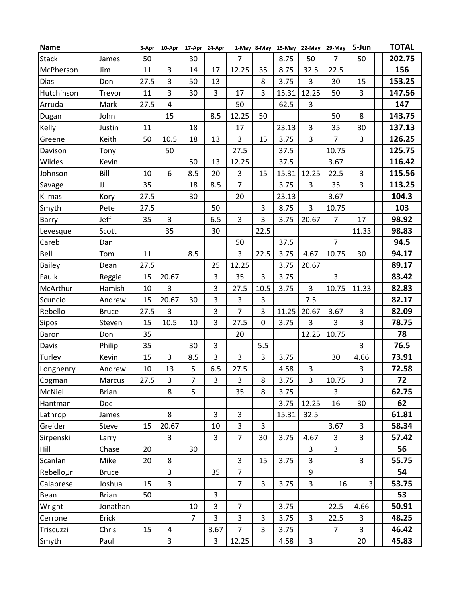| <b>Name</b>   |              | 3-Apr | 10-Apr 17-Apr 24-Apr |                |                         |                |                |       |                | 1-May 8-May 15-May 22-May 29-May | 5-Jun          | <b>TOTAL</b> |
|---------------|--------------|-------|----------------------|----------------|-------------------------|----------------|----------------|-------|----------------|----------------------------------|----------------|--------------|
| <b>Stack</b>  | James        | 50    |                      | 30             |                         | $\overline{7}$ |                | 8.75  | 50             | 7                                | 50             | 202.75       |
| McPherson     | Jim          | 11    | 3                    | 14             | 17                      | 12.25          | 35             | 8.75  | 32.5           | 22.5                             |                | 156          |
| Dias          | Don          | 27.5  | 3                    | 50             | 13                      |                | 8              | 3.75  | 3              | 30                               | 15             | 153.25       |
| Hutchinson    | Trevor       | 11    | 3                    | 30             | 3                       | 17             | 3              | 15.31 | 12.25          | 50                               | 3              | 147.56       |
| Arruda        | Mark         | 27.5  | 4                    |                |                         | 50             |                | 62.5  | 3              |                                  |                | 147          |
| Dugan         | John         |       | 15                   |                | 8.5                     | 12.25          | 50             |       |                | 50                               | 8              | 143.75       |
| Kelly         | Justin       | 11    |                      | 18             |                         | 17             |                | 23.13 | 3              | 35                               | 30             | 137.13       |
| Greene        | Keith        | 50    | 10.5                 | 18             | 13                      | 3              | 15             | 3.75  | 3              | $\overline{7}$                   | 3              | 126.25       |
| Davison       | Tony         |       | 50                   |                |                         | 27.5           |                | 37.5  |                | 10.75                            |                | 125.75       |
| Wildes        | Kevin        |       |                      | 50             | 13                      | 12.25          |                | 37.5  |                | 3.67                             |                | 116.42       |
| Johnson       | Bill         | 10    | 6                    | 8.5            | 20                      | $\overline{3}$ | 15             | 15.31 | 12.25          | 22.5                             | 3              | 115.56       |
| IJ<br>Savage  |              | 35    |                      | 18             | 8.5                     | $\overline{7}$ |                | 3.75  | 3              | 35                               | 3              | 113.25       |
| Klimas        | Kory         | 27.5  |                      | 30             |                         | 20             |                | 23.13 |                | 3.67                             |                | 104.3        |
| Smyth         | Pete         | 27.5  |                      |                | 50                      |                | 3              | 8.75  | 3              | 10.75                            |                | 103          |
| Barry         | Jeff         | 35    | 3                    |                | 6.5                     | 3              | 3              | 3.75  | 20.67          | $\overline{7}$                   | 17             | 98.92        |
| Levesque      | Scott        |       | 35                   |                | 30                      |                | 22.5           |       |                |                                  | 11.33          | 98.83        |
| Careb         | Dan          |       |                      |                |                         | 50             |                | 37.5  |                | $\overline{7}$                   |                | 94.5         |
| Bell          | Tom          | 11    |                      | 8.5            |                         | 3              | 22.5           | 3.75  | 4.67           | 10.75                            | 30             | 94.17        |
| <b>Bailey</b> | Dean         | 27.5  |                      |                | 25                      | 12.25          |                | 3.75  | 20.67          |                                  |                | 89.17        |
| Faulk         | Reggie       | 15    | 20.67                |                | 3                       | 35             | 3              | 3.75  |                | 3                                |                | 83.42        |
| McArthur      | Hamish       | 10    | 3                    |                | 3                       | 27.5           | 10.5           | 3.75  | 3              | 10.75                            | 11.33          | 82.83        |
| Scuncio       | Andrew       | 15    | 20.67                | 30             | 3                       | 3              | 3              |       | 7.5            |                                  |                | 82.17        |
| Rebello       | <b>Bruce</b> | 27.5  | 3                    |                | 3                       | $\overline{7}$ | 3              | 11.25 | 20.67          | 3.67                             | 3              | 82.09        |
| Sipos         | Steven       | 15    | 10.5                 | 10             | 3                       | 27.5           | $\mathbf 0$    | 3.75  | 3              | 3                                | $\overline{3}$ | 78.75        |
| Baron         | Don          | 35    |                      |                |                         | 20             |                |       | 12.25          | 10.75                            |                | 78           |
| Davis         | Philip       | 35    |                      | 30             | 3                       |                | 5.5            |       |                |                                  | 3              | 76.5         |
| Turley        | Kevin        | 15    | 3                    | 8.5            | 3                       | 3              | 3              | 3.75  |                | 30                               | 4.66           | 73.91        |
| Longhenry     | Andrew       | 10    | 13                   | 5              | 6.5                     | 27.5           |                | 4.58  | 3              |                                  | 3              | 72.58        |
| Cogman        | Marcus       | 27.5  | $\overline{3}$       | $\overline{7}$ | $\overline{3}$          | $\overline{3}$ | 8              | 3.75  | $\overline{3}$ | 10.75                            | 3              | 72           |
| McNiel        | <b>Brian</b> |       | 8                    | 5              |                         | 35             | 8              | 3.75  |                | 3                                |                | 62.75        |
| Hantman       | Doc          |       |                      |                |                         |                |                | 3.75  | 12.25          | 16                               | 30             | 62           |
| Lathrop       | James        |       | 8                    |                | 3                       | 3              |                | 15.31 | 32.5           |                                  |                | 61.81        |
| Greider       | Steve        | 15    | 20.67                |                | 10                      | $\overline{3}$ | $\overline{3}$ |       |                | 3.67                             | $\overline{3}$ | 58.34        |
| Sirpenski     | Larry        |       | 3                    |                | $\overline{3}$          | $\overline{7}$ | 30             | 3.75  | 4.67           | 3                                | $\overline{3}$ | 57.42        |
| Hill          | Chase        | 20    |                      | 30             |                         |                |                |       | 3              | $\overline{3}$                   |                | 56           |
| Scanlan       | Mike         | 20    | 8                    |                |                         | 3              | 15             | 3.75  | $\overline{3}$ |                                  | $\overline{3}$ | 55.75        |
| Rebello, Jr   | <b>Bruce</b> |       | 3                    |                | 35                      | $\overline{7}$ |                |       | 9              |                                  |                | 54           |
| Calabrese     | Joshua       | 15    | 3                    |                |                         | $\overline{7}$ | 3              | 3.75  | 3              | 16                               | $\vert$        | 53.75        |
| Bean          | <b>Brian</b> | 50    |                      |                | $\overline{3}$          |                |                |       |                |                                  |                | 53           |
| Wright        | Jonathan     |       |                      | 10             | 3                       | $\overline{7}$ |                | 3.75  |                | 22.5                             | 4.66           | 50.91        |
| Cerrone       | Erick        |       |                      | $\overline{7}$ | 3                       | 3              | 3              | 3.75  | $\overline{3}$ | 22.5                             | 3              | 48.25        |
| Triscuzzi     | Chris        | 15    | $\overline{4}$       |                | 3.67                    | $\overline{7}$ | 3              | 3.75  |                | $\overline{7}$                   | $\overline{3}$ | 46.42        |
| Smyth         | Paul         |       | 3                    |                | $\overline{\mathbf{3}}$ | 12.25          |                | 4.58  | 3              |                                  | 20             | 45.83        |